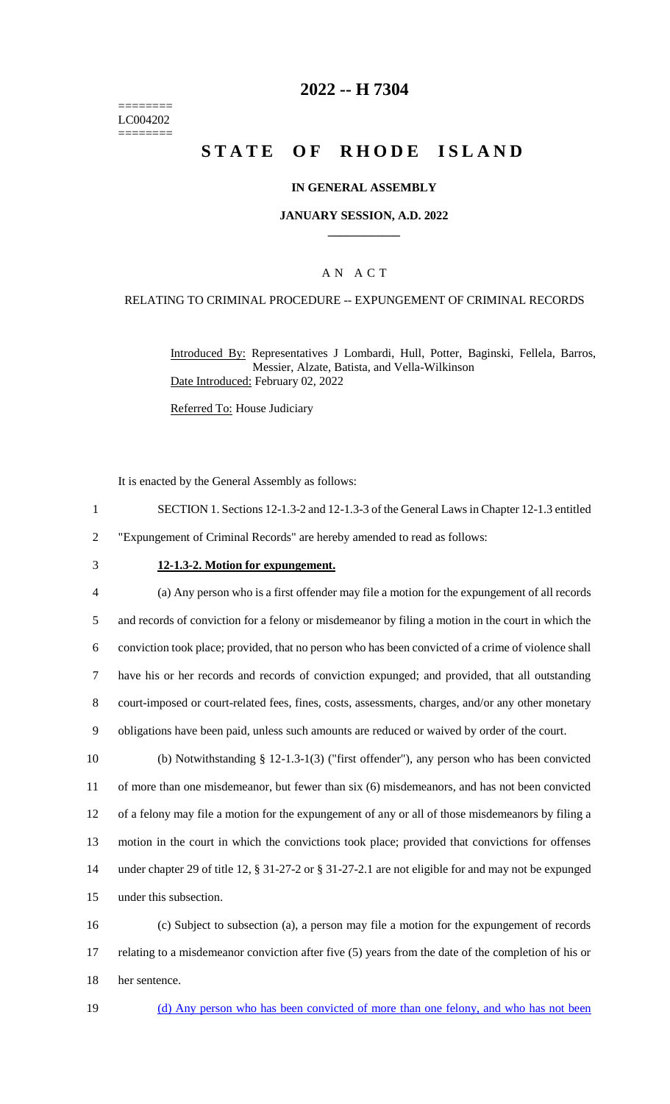======== LC004202 ========

### **2022 -- H 7304**

# **STATE OF RHODE ISLAND**

#### **IN GENERAL ASSEMBLY**

#### **JANUARY SESSION, A.D. 2022 \_\_\_\_\_\_\_\_\_\_\_\_**

### A N A C T

### RELATING TO CRIMINAL PROCEDURE -- EXPUNGEMENT OF CRIMINAL RECORDS

Introduced By: Representatives J Lombardi, Hull, Potter, Baginski, Fellela, Barros, Messier, Alzate, Batista, and Vella-Wilkinson Date Introduced: February 02, 2022

Referred To: House Judiciary

It is enacted by the General Assembly as follows:

1 SECTION 1. Sections 12-1.3-2 and 12-1.3-3 of the General Laws in Chapter 12-1.3 entitled

2 "Expungement of Criminal Records" are hereby amended to read as follows:

#### 3 **12-1.3-2. Motion for expungement.**

 (a) Any person who is a first offender may file a motion for the expungement of all records and records of conviction for a felony or misdemeanor by filing a motion in the court in which the conviction took place; provided, that no person who has been convicted of a crime of violence shall have his or her records and records of conviction expunged; and provided, that all outstanding court-imposed or court-related fees, fines, costs, assessments, charges, and/or any other monetary obligations have been paid, unless such amounts are reduced or waived by order of the court.

 (b) Notwithstanding § 12-1.3-1(3) ("first offender"), any person who has been convicted of more than one misdemeanor, but fewer than six (6) misdemeanors, and has not been convicted of a felony may file a motion for the expungement of any or all of those misdemeanors by filing a motion in the court in which the convictions took place; provided that convictions for offenses under chapter 29 of title 12, § 31-27-2 or § 31-27-2.1 are not eligible for and may not be expunged under this subsection.

16 (c) Subject to subsection (a), a person may file a motion for the expungement of records 17 relating to a misdemeanor conviction after five (5) years from the date of the completion of his or 18 her sentence.

19 (d) Any person who has been convicted of more than one felony, and who has not been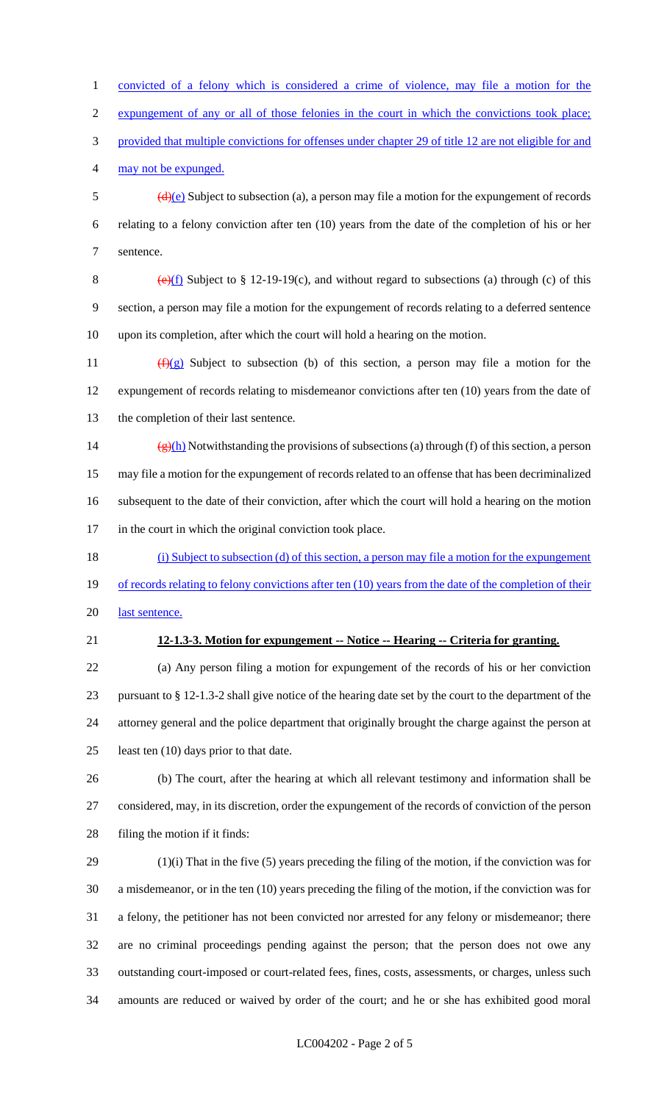convicted of a felony which is considered a crime of violence, may file a motion for the expungement of any or all of those felonies in the court in which the convictions took place; provided that multiple convictions for offenses under chapter 29 of title 12 are not eligible for and may not be expunged.  $\frac{d}{e}$  Subject to subsection (a), a person may file a motion for the expungement of records relating to a felony conviction after ten (10) years from the date of the completion of his or her sentence. 8 (e)(f) Subject to § 12-19-19(c), and without regard to subsections (a) through (c) of this section, a person may file a motion for the expungement of records relating to a deferred sentence upon its completion, after which the court will hold a hearing on the motion.  $(f)(g)$  Subject to subsection (b) of this section, a person may file a motion for the expungement of records relating to misdemeanor convictions after ten (10) years from the date of the completion of their last sentence. 14 (g)(h) Notwithstanding the provisions of subsections (a) through (f) of this section, a person may file a motion for the expungement of records related to an offense that has been decriminalized subsequent to the date of their conviction, after which the court will hold a hearing on the motion in the court in which the original conviction took place. (i) Subject to subsection (d) of this section, a person may file a motion for the expungement 19 of records relating to felony convictions after ten (10) years from the date of the completion of their 20 last sentence. **12-1.3-3. Motion for expungement -- Notice -- Hearing -- Criteria for granting.** (a) Any person filing a motion for expungement of the records of his or her conviction pursuant to § 12-1.3-2 shall give notice of the hearing date set by the court to the department of the attorney general and the police department that originally brought the charge against the person at 25 least ten (10) days prior to that date. (b) The court, after the hearing at which all relevant testimony and information shall be considered, may, in its discretion, order the expungement of the records of conviction of the person filing the motion if it finds: (1)(i) That in the five (5) years preceding the filing of the motion, if the conviction was for a misdemeanor, or in the ten (10) years preceding the filing of the motion, if the conviction was for a felony, the petitioner has not been convicted nor arrested for any felony or misdemeanor; there are no criminal proceedings pending against the person; that the person does not owe any outstanding court-imposed or court-related fees, fines, costs, assessments, or charges, unless such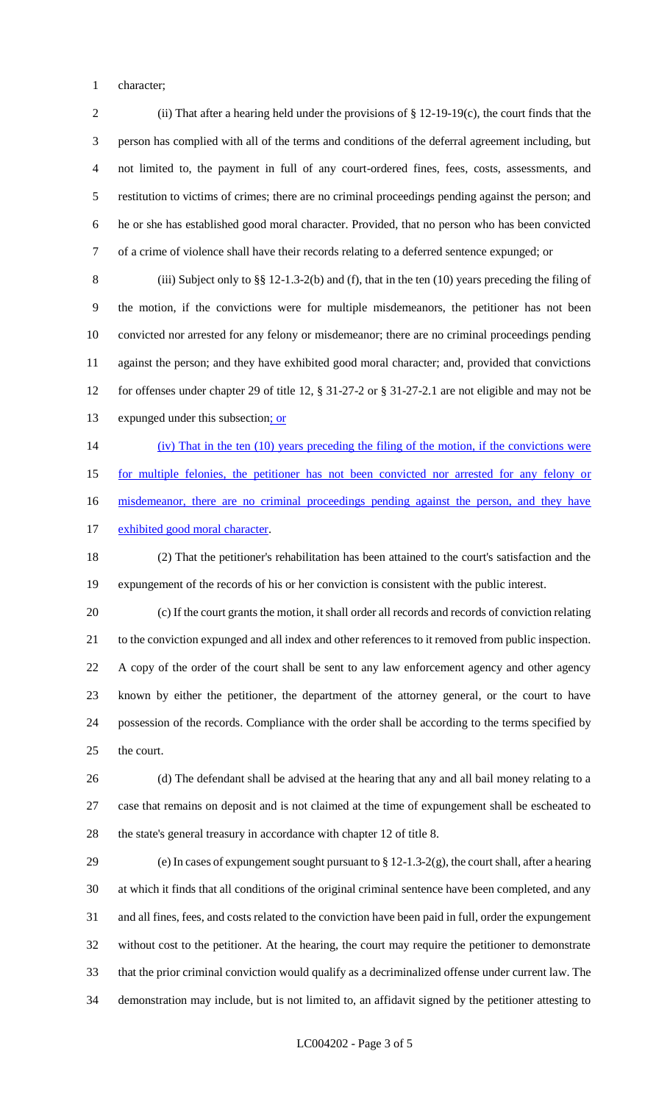character;

 (ii) That after a hearing held under the provisions of § 12-19-19(c), the court finds that the person has complied with all of the terms and conditions of the deferral agreement including, but not limited to, the payment in full of any court-ordered fines, fees, costs, assessments, and restitution to victims of crimes; there are no criminal proceedings pending against the person; and he or she has established good moral character. Provided, that no person who has been convicted of a crime of violence shall have their records relating to a deferred sentence expunged; or

 (iii) Subject only to §§ 12-1.3-2(b) and (f), that in the ten (10) years preceding the filing of the motion, if the convictions were for multiple misdemeanors, the petitioner has not been convicted nor arrested for any felony or misdemeanor; there are no criminal proceedings pending against the person; and they have exhibited good moral character; and, provided that convictions for offenses under chapter 29 of title 12, § 31-27-2 or § 31-27-2.1 are not eligible and may not be 13 expunged under this subsection; or

(iv) That in the ten (10) years preceding the filing of the motion, if the convictions were

for multiple felonies, the petitioner has not been convicted nor arrested for any felony or

16 misdemeanor, there are no criminal proceedings pending against the person, and they have

17 exhibited good moral character.

 (2) That the petitioner's rehabilitation has been attained to the court's satisfaction and the expungement of the records of his or her conviction is consistent with the public interest.

 (c) If the court grants the motion, it shall order all records and records of conviction relating to the conviction expunged and all index and other references to it removed from public inspection. A copy of the order of the court shall be sent to any law enforcement agency and other agency known by either the petitioner, the department of the attorney general, or the court to have possession of the records. Compliance with the order shall be according to the terms specified by the court.

 (d) The defendant shall be advised at the hearing that any and all bail money relating to a case that remains on deposit and is not claimed at the time of expungement shall be escheated to the state's general treasury in accordance with chapter 12 of title 8.

 (e) In cases of expungement sought pursuant to § 12-1.3-2(g), the court shall, after a hearing at which it finds that all conditions of the original criminal sentence have been completed, and any and all fines, fees, and costs related to the conviction have been paid in full, order the expungement without cost to the petitioner. At the hearing, the court may require the petitioner to demonstrate that the prior criminal conviction would qualify as a decriminalized offense under current law. The demonstration may include, but is not limited to, an affidavit signed by the petitioner attesting to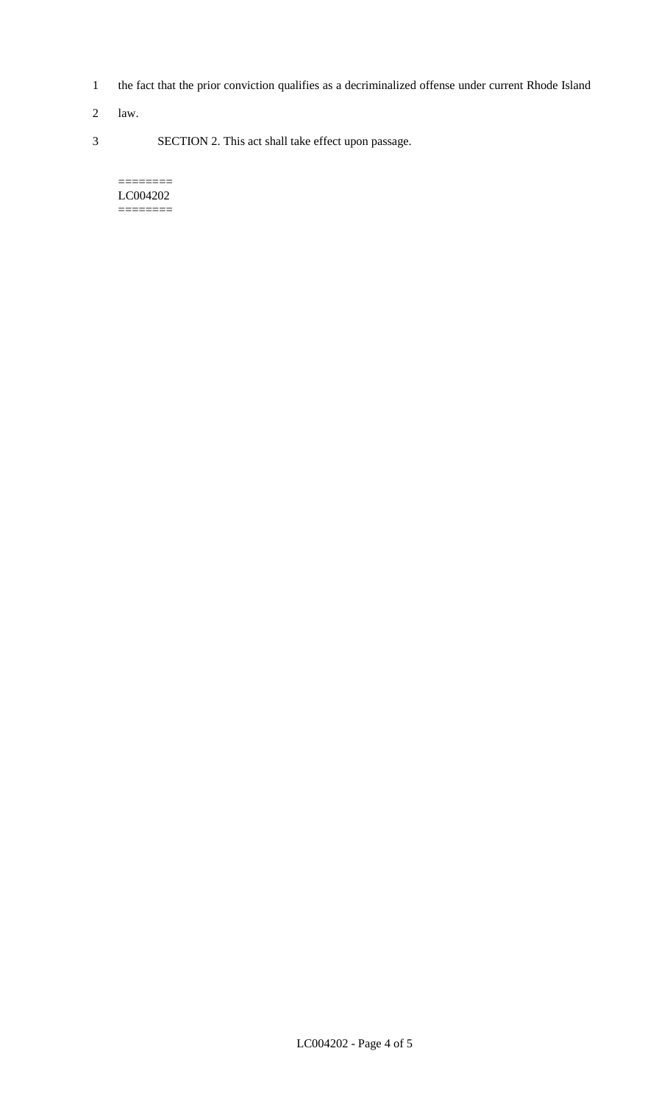- 1 the fact that the prior conviction qualifies as a decriminalized offense under current Rhode Island
- 2 law.
- 3 SECTION 2. This act shall take effect upon passage.

#### ======== LC004202 ========